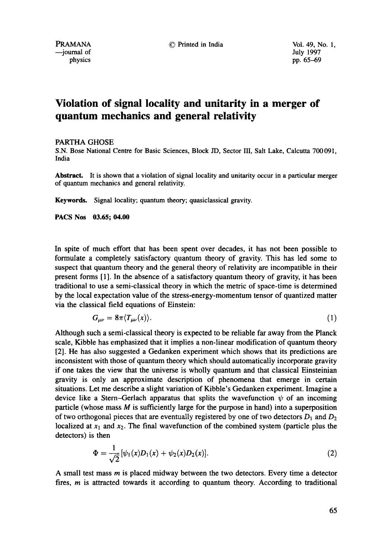PRAMANA © Printed in India Vol. 49, No. 1,

# **Violation of signal locality and unitarity in a merger of quantum mechanics and general relativity**

### PARTHA GHOSE

S.N. Bose National Centre for Basic Sciences, Block JD, Sector HI, Salt Lake, Calcutta 700091, India

Abstract. It is shown that a violation of signal locality and unitarity occur in a particular merger of quantum mechanics and general relativity.

**Keywords.** Signal locality; quantum theory; quasiclassical gravity.

**PACS Nos 03.65; 04.00** 

In spite of much effort that has been spent over decades, it has not been possible to formulate a completely satisfactory quantum theory of gravity. This has led some to suspect that quantum theory and the general theory of relativity are incompatible in their present forms [1]. In the absence of a satisfactory quantum theory of gravity, it has been traditional to use a semi-classical theory in which the metric of space-time is determined by the local expectation value of the stress-energy-momentum tensor of quantized matter via the classical field equations of Einstein:

$$
G_{\mu\nu} = 8\pi \langle T_{\mu\nu}(x) \rangle. \tag{1}
$$

Although such a semi-classical theory is expected to be reliable far away from the Planck scale, Kibble has emphasized that it implies a non-linear modification of quantum theory [2]. He has also suggested a Gedanken experiment which shows that its predictions are inconsistent with those of quantum theory which should automatically incorporate gravity if one takes the view that the universe is wholly quantum and that classical Einsteinian gravity is only an approximate description of phenomena that emerge in certain situations. Let me describe a slight variation of Kibble's Gedanken experiment. Imagine a device like a Stern-Gerlach apparatus that splits the wavefunction  $\psi$  of an incoming particle (whose mass  $M$  is sufficiently large for the purpose in hand) into a superposition of two orthogonal pieces that are eventually registered by one of two detectors  $D_1$  and  $D_2$ localized at  $x_1$  and  $x_2$ . The final wavefunction of the combined system (particle plus the detectors) is then

$$
\Phi = \frac{1}{\sqrt{2}} [\psi_1(x) D_1(x) + \psi_2(x) D_2(x)]. \tag{2}
$$

A small test mass m is placed midway between the two detectors. Every time a detector fires, m is attracted towards it according to quantum theory. According to traditional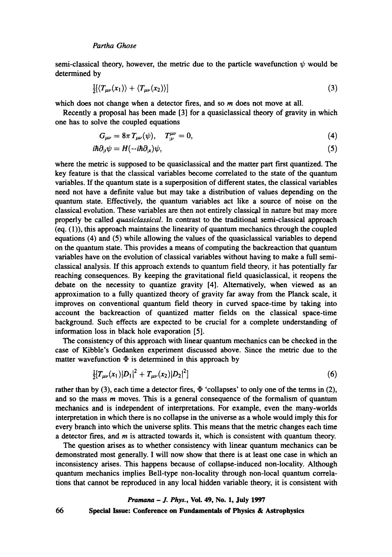semi-classical theory, however, the metric due to the particle wavefunction  $\psi$  would be determined by

$$
\frac{1}{2}\left\langle T_{\mu\nu}(x_1)\right\rangle + \left\langle T_{\mu\nu}(x_2)\right\rangle \tag{3}
$$

which does not change when a detector fires, and so  $m$  does not move at all.

Recently a proposal has been made [3] for a quasiclassical theory of gravity in which one has to solve the coupled equations

$$
G_{\mu\nu} = 8\pi T_{\mu\nu}(\psi), \quad T^{\mu\nu}_{:\nu} = 0,\tag{4}
$$

$$
i\hbar \partial_{;i}\psi = H(-i\hbar \partial_{;x})\psi,\tag{5}
$$

where the metric is supposed to be quasiclassical and the matter part first quantized. The key feature is that the classical variables become correlated to the state of the quantum variables. If the quantum state is a superposition of different states, the classical variables need not have a definite value but may take a distribution of values depending on the quantum state. Effectively, the quantum variables act like a source of noise on the classical evolution. These variables are then not entirely classicgd in nature but may more properly be called *quasiclassical.* In contrast to the traditional semi-classical approach (eq. (1)), this approach maintains the linearity of quantum mechanics through the coupled equations (4) and (5) while allowing the values of the quasiclassical variables to depend on the quantum state. This provides a means of computing the backreaction that quantum variables have on the evolution of classical variables without having to make a full semiclassical analysis. If this approach extends to quantum field theory, it has potentially far reaching consequences. By keeping the gravitational field quasiclassical, it reopens the debate on the necessity to quantize gravity [4]. Alternatively, when viewed as an approximation to a fully quantized theory of gravity far away from the Planck scale, it improves on conventional quantum field theory in curved space-time by taking into account the backreaction of quantized matter fields on the classical space-time background. Such effects are expected to be crucial for a complete understanding of information loss in black hole evaporation [5].

The consistency of this approach with linear quantum mechanics can be checked in the case of Kibble's Gedanken experiment discussed above. Since the metric due to the matter wavefunction  $\Phi$  is determined in this approach by

$$
\frac{1}{2}[T_{\mu\nu}(x_1)|D_1|^2 + T_{\mu\nu}(x_2)|D_2|^2] \tag{6}
$$

rather than by (3), each time a detector fires,  $\Phi$  'collapses' to only one of the terms in (2), and so the mass  *moves. This is a general consequence of the formalism of quantum* mechanics and is independent of interpretations. For example, even the many-worlds interpretation in which there is no collapse in the universe as a whole would imply this for every branch into which the universe splits. This means that the metric changes each time a detector fires, and m is attracted towards it, which is consistent with quantum theory.

The question arises as to whether consistency with linear quantum mechanics can be demonstrated most generally. I will now show that there is at least one case in which an inconsistency arises. This happens because of collapse-induced non-locality. Although quantum mechanics implies Bell-type non-locality through non-local quantum correlations that cannot be reproduced in any local hidden variable theory, it is consistent with

#### *Pramana - J. Phys.,* Voi. 49, No. 1, July 1997

66

Special **Issue: Conference on Fundamentals of Physics & Astrophysics**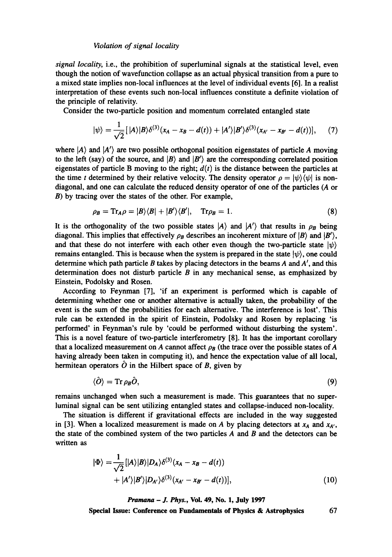#### *Violation of signal locality*

*signal locality,* i.e., the prohibition of superluminal signals at the statistical level, even though the notion of wavefunction collapse as an actual physical transition from a pure to a mixed state implies non-local influences at the level of individual events [6]. In a realist interpretation of these events such non-local influences constitute a definite violation of the principle of relativity.

Consider the two-particle position and momentum correlated entangled state

$$
|\psi\rangle = \frac{1}{\sqrt{2}}[|A\rangle|B\rangle\delta^{(3)}(x_A - x_B - d(t)) + |A'\rangle|B'\rangle\delta^{(3)}(x_{A'} - x_{B'} - d(t))], \quad (7)
$$

where  $|A\rangle$  and  $|A'\rangle$  are two possible orthogonal position eigenstates of particle A moving to the left (say) of the source, and  $|B\rangle$  and  $|B'\rangle$  are the corresponding correlated position eigenstates of particle B moving to the right;  $d(t)$  is the distance between the particles at the time t determined by their relative velocity. The density operator  $\rho = |\psi\rangle \langle \psi|$  is nondiagonal, and one can calculate the reduced density operator of one of the particles (A or B) by tracing over the states of the other. For example,

$$
\rho_B = \text{Tr}_A \rho = |B\rangle\langle B| + |B'\rangle\langle B'|, \quad \text{Tr}\rho_B = 1. \tag{8}
$$

It is the orthogonality of the two possible states  $|A\rangle$  and  $|A'\rangle$  that results in  $\rho_B$  being diagonal. This implies that effectively  $\rho_B$  describes an incoherent mixture of  $|B\rangle$  and  $|B'\rangle$ , and that these do not interfere with each other even though the two-particle state  $|\psi\rangle$ remains entangled. This is because when the system is prepared in the state  $|\psi\rangle$ , one could determine which path particle  $B$  takes by placing detectors in the beams  $A$  and  $A'$ , and this determination does not disturb particle  $B$  in any mechanical sense, as emphasized by Einstein, Podolsky and Rosen.

According to Feynman [7], 'if an experiment is performed which is capable of determining whether one or another alternative is actually taken, the probability of the **event** is the sum of the probabilities for each alternative. The interference is lost'. This rule can be extended in the spirit of Einstein, Podolsky and Rosen by replacing 'is performed' in Feynman's rule by 'could be performed without disturbing the system'. This is a novel feature of two-particle interferometry [8]. It has the important corollary that a localized measurement on A cannot affect  $\rho_B$  (the trace over the possible states of A having already been taken in computing it), and hence the expectation value of all local, hermitean operators  $\hat{O}$  in the Hilbert space of B, given by

$$
\langle \hat{O} \rangle = \text{Tr} \, \rho_B \hat{O},\tag{9}
$$

remains unchanged when such a measurement is made. This guarantees that no superluminal signal can be sent utilizing entangled states and collapse-induced non-locality.

The situation is different if gravitational effects are included in the way suggested in [3]. When a localized measurement is made on A by placing detectors at  $x_A$  and  $x_{A'}$ , the state of the combined system of the two particles  $A$  and  $B$  and the detectors can be written as

$$
|\Phi\rangle = \frac{1}{\sqrt{2}} \left[ |A\rangle|B\rangle|D_A\rangle\delta^{(3)}(x_A - x_B - d(t)) + |A'\rangle|B'\rangle|D_{A'}\rangle\delta^{(3)}(x_{A'} - x_{B'} - d(t))\right],
$$
\n(10)

*Pramana - J. Phys.,* Vol. 49, No. 1, July 1997

**Special Issue: Conference on Fundamentals of Physics & Astrophysics** 67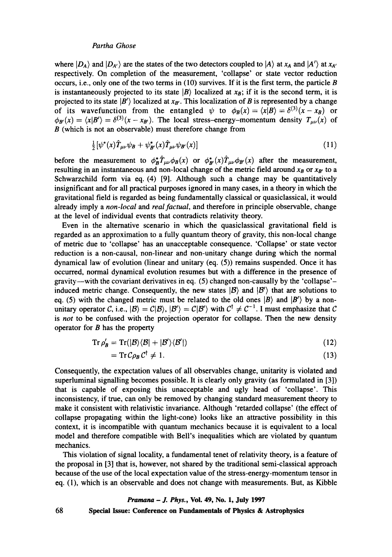# *Partha Ghose*

where  $|D_A\rangle$  and  $|D_{A'}\rangle$  are the states of the two detectors coupled to  $|A\rangle$  at  $x_A$  and  $|A'\rangle$  at  $x_{A'}$ respectively. On completion of the measurement, 'collapse' or state vector reduction occurs, i.e., only one of the two terms in  $(10)$  survives. If it is the first term, the particle B is instantaneously projected to its state  $|B\rangle$  localized at  $x_B$ ; if it is the second term, it is projected to its state  $|B'\rangle$  localized at  $x_{B'}$ . This localization of B is represented by a change of its wavefunction from the entangled  $\psi$  to  $\phi_B(x) = \langle x|B\rangle = \delta^{(3)}(x-x_B)$  or  $\phi_{B}(x) = \langle x|B'\rangle = \delta^{(3)}(x-x_{B'})$ . The local stress-energy-momentum density  $T_{\mu\nu}(x)$  of B (which is not an observable) must therefore change from

$$
\frac{1}{2} \left[ \psi^*(x) \hat{T}_{\mu\nu} \psi_B + \psi^*_{B'}(x) \hat{T}_{\mu\nu} \psi_{B'}(x) \right] \tag{11}
$$

before the measurement to  $\phi_B^* \hat{T}_{\mu\nu} \phi_B(x)$  or  $\phi_{B'}^*(x) \hat{T}_{\mu\nu} \phi_{B'}(x)$  after the measurement, resulting in an instantaneous and non-local change of the metric field around  $x_B$  or  $x_B$  to a Schwarzchild form via eq. (4) [9]. Although such a change may be quantitatively insignificant and for all practical purposes ignored in many cases, in a theory in which the gravitational field is regarded as being fundamentally classical or quasiclassical, it would already imply a *non-local and real factual,* and therefore in principle observable, change at the level of individual events that contradicts relativity theory.

Even in the alternative scenario in which the quasiclassical gravitational field is regarded as an approximation to a fully quantum theory of gravity, this non-local change of metric due to 'collapse' has an unacceptable consequence. 'Collapse' or state vector reduction is a non-causal, non-linear and non-unitary change during which the normal dynamical law of evolution (linear and unitary  $(eq. (5))$  remains suspended. Once it has occurred, normal dynamical evolution resumes but with a difference in the presence of gravity--with the covariant derivatives in eq. (5) changed non-causally by the 'collapse' induced metric change. Consequently, the new states  $|B\rangle$  and  $|B'\rangle$  that are solutions to eq. (5) with the changed metric must be related to the old ones  $|B\rangle$  and  $|B'\rangle$  by a nonunitary operator C, i.e.,  $|B\rangle = C|B\rangle$ ,  $|B'\rangle = C|B'\rangle$  with  $C^{\dagger} \neq C^{-1}$ . I must emphasize that C is *not* to be confused with the projection operator for collapse. Then the new density operator for  $B$  has the property

$$
Tr \rho'_{\mathcal{B}} = Tr(|\mathcal{B}\rangle\langle\mathcal{B}| + |\mathcal{B}'\rangle\langle\mathcal{B}'|)
$$
 (12)

$$
= \operatorname{Tr} \mathcal{C} \rho_B \mathcal{C}^\dagger \neq 1. \tag{13}
$$

Consequently, the expectation values of all observables change, unitarity is violated and superluminal signalling becomes possible. It is clearly only gravity (as formulated in [3]) that is capable of exposing this unacceptable and ugly head of 'collapse'. This inconsistency, if true, can only be removed by changing standard measurement theory to make it consistent with relativistic invariance. Although 'retarded collapse' (the effect of collapse propagating within the light-cone) looks like an attractive possibility in this context, it is incompatible with quantum mechanics because it is equivalent to a local model and therefore compatible with Bell's inequalities which are violated by quantum mechanics.

This violation of signal locality, a fundamental tenet of relativity theory, is a feature of the proposal in [3] that is, however, not shared by the traditional semi-classical approach because of the use of the local expectation value of the stress-energy-momentum tensor in eq. (1), which is an observable and does not change with measurements. But, as Kibble

#### *Pramana - J. Phys.,* Vol. 49, No. 1, July 1997

Special **Issue: Conference on Fundamentals of Physics & Astrophysics** 

68